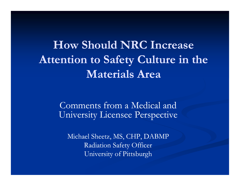**How Should NRC Increase Attention to Safety Culture in the Materials Area**

> Comments from a Medical and University Licensee Perspective

Michael Sheetz, MS, CHP, DABMP Radiation Safety Officer University of Pittsburgh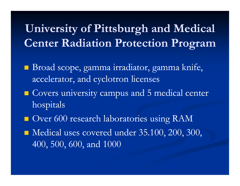## **University of Pittsburgh and Medical Center Radiation Protection Program**

- Broad scope, gamma irradiator, gamma knife, accelerator, and cyclotron licenses
- **Covers university campus and 5 medical center** hospitals
- **Over 600 research laboratories using RAM**
- Medical uses covered under 35.100, 200, 300, 400, 500, 600, and 1000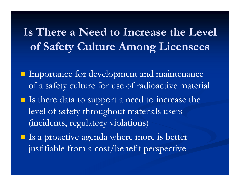#### **Is There a Need to Increase the Level of Safety Culture Among Licensees**

- **Importance for development and maintenance** of a safety culture for use of radioactive material
- Is there data to support a need to increase the level of safety throughout materials users (incidents, regulatory violations)
- **If** Is a proactive agenda where more is better justifiable from a cost/benefit perspective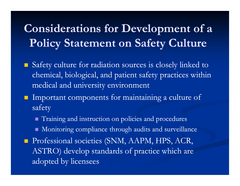# **Considerations for Development of a Policy Statement on Safety Culture**

- Safety culture for radiation sources is closely linked to chemical, biological, and patient safety practices within medical and university environment
- $\blacksquare$  Important components for maintaining a culture of safety
	- Training and instruction on policies and procedures
	- Monitoring compliance through audits and surveillance
- **Professional societies (SNM, AAPM, HPS, ACR,** ASTRO) develop standards of practice which are adopted by licensees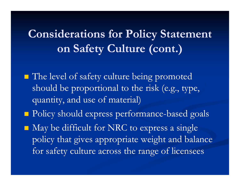# **Considerations for Policy Statement on Safety Culture (cont.)**

- The level of safety culture being promoted should be proportional to the risk (e.g., type, quantity, and use of material)
- **Policy should express performance-based goals**
- May be difficult for NRC to express a single policy that gives appropriate weight and balance for safety culture across the range of licensees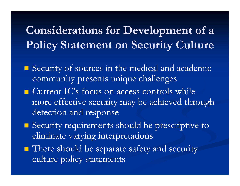# **Considerations for Development of a Policy Statement on Security Culture**

- **Security of sources in the medical and academic** community presents unique challenges
- $\blacksquare$  Current IC's focus on access controls while more effective security may be achieved through detection and response
- Security requirements should be prescriptive to eliminate varying interpretations
- There should be separate safety and security culture policy statements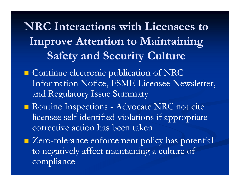**NRC Interactions with Licensees to Improve Attention to Maintaining Safety and Security Culture**

- **Continue electronic publication of NRC** Information Notice, FSME Licensee Newsletter, and Regulatory Issue Summary
- Routine Inspections Advocate NRC not cite licensee self-identified violations if appropriate corrective action has been taken
- $\blacksquare$  Zero-tolerance enforcement policy has potential to negatively affect maintaining a culture of compliance